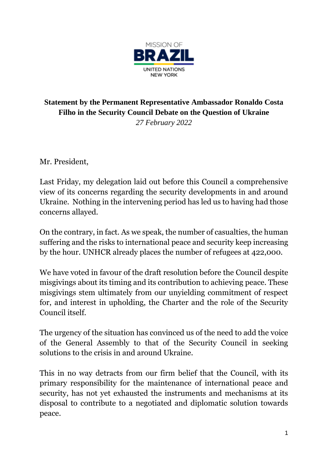

## **Statement by the Permanent Representative Ambassador Ronaldo Costa Filho in the Security Council Debate on the Question of Ukraine** *27 February 2022*

Mr. President,

Last Friday, my delegation laid out before this Council a comprehensive view of its concerns regarding the security developments in and around Ukraine. Nothing in the intervening period has led us to having had those concerns allayed.

On the contrary, in fact. As we speak, the number of casualties, the human suffering and the risks to international peace and security keep increasing by the hour. UNHCR already places the number of refugees at 422,000.

We have voted in favour of the draft resolution before the Council despite misgivings about its timing and its contribution to achieving peace. These misgivings stem ultimately from our unyielding commitment of respect for, and interest in upholding, the Charter and the role of the Security Council itself.

The urgency of the situation has convinced us of the need to add the voice of the General Assembly to that of the Security Council in seeking solutions to the crisis in and around Ukraine.

This in no way detracts from our firm belief that the Council, with its primary responsibility for the maintenance of international peace and security, has not yet exhausted the instruments and mechanisms at its disposal to contribute to a negotiated and diplomatic solution towards peace.